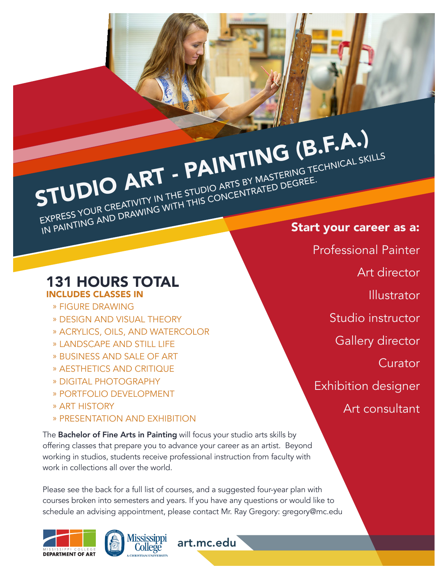### STUDIO ART - PAINTING (B.F.A.) EXPRESS YOUR CREATIVITY IN THE STUDIO ARTS BY MASTERING TECHNICAL SKILLS EXPRESS TOOR CREATIVITY IN THE STOUTO ARTS BY WASTERING TE

#### 131 HOURS TOTAL INCLUDES CLASSES IN

- » FIGURE DRAWING
- » DESIGN AND VISUAL THEORY
- » ACRYLICS, OILS, AND WATERCOLOR
- » LANDSCAPE AND STILL LIFE
- » BUSINESS AND SALE OF ART
- » AESTHETICS AND CRITIQUE
- » DIGITAL PHOTOGRAPHY
- » PORTFOLIO DEVELOPMENT
- » ART HISTORY
- » PRESENTATION AND EXHIBITION

The **Bachelor of Fine Arts in Painting** will focus your studio arts skills by offering classes that prepare you to advance your career as an artist. Beyond working in studios, students receive professional instruction from faculty with work in collections all over the world.

Please see the back for a full list of courses, and a suggested four-year plan with courses broken into semesters and years. If you have any questions or would like to schedule an advising appointment, please contact Mr. Ray Gregory: gregory@mc.edu

art.mc.edu





Start your career as a: Professional Painter Art director Illustrator Studio instructor Gallery director Curator Exhibition designer Art consultant